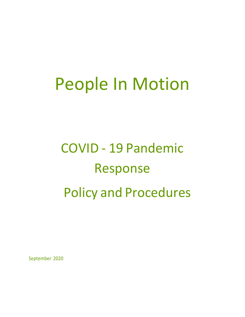# People In Motion

# COVID - 19 Pandemic Response Policy and Procedures

September 2020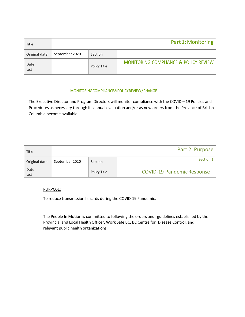| Title         |                |              | Part 1: Monitoring                    |
|---------------|----------------|--------------|---------------------------------------|
| Original date | September 2020 | Section      |                                       |
| Date<br>last  |                | Policy Title | MONITORING COMPLIANCE & POLICY REVIEW |

# MONITORING COMPLIANCE & POLICY REVIEW / CHANGE

The Executive Director and Program Directors will monitor compliance with the COVID – 19 Policies and Procedures as necessary through its annual evaluation and/or as new orders from the Province of British Columbia become available.

| Title         |                |              | Part 2: Purpose                   |
|---------------|----------------|--------------|-----------------------------------|
| Original date | September 2020 | Section      | Section 1                         |
| Date<br>last  |                | Policy Title | <b>COVID-19 Pandemic Response</b> |

# PURPOSE:

To reduce transmission hazards during the COVID-19 Pandemic.

The People In Motion is committed to following the orders and guidelines established by the Provincial and Local Health Officer, Work Safe BC, BC Centre for Disease Control, and relevant public health organizations.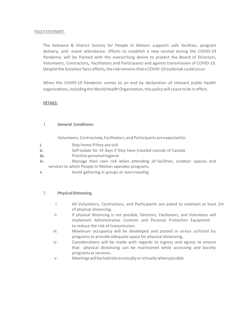#### POLICY STATEMENT:

The Kelowna & District Society for People In Motion supports safe facilities, program delivery, and event attendance. Efforts to establish a new normal during the COVID-19 Pandemic will be framed with the overarching desire to protect the Board of Directors, Volunteers, Contractors, Facilitators and Participants and against transmission of COVID-19. Despite the Societies' best efforts, the risk remains that a COVID-19 outbreak could occur.

When the COVID-19 Pandemic comes to an end by declaration of relevant public health organizations, including the World Health Organization, this policy will cease to be in effect.

# DETAILS:

# 1 General Conditions:

Volunteers, Contractors, Facilitators, and Participants are expected to:

- i. Stay home if they are sick
- ii. Self-isolate for 14 days if they have traveled outside of Canada
- iii. Practice personal hygiene
- iv. Manage their own risk when attending all facilities, outdoor spaces, and services to which People In Motion operates programs
- v. Avoid gathering in groups or overcrowding

# 2 Physical Distancing

- i. All Volunteers, Contractors, and Participants are asked to maintain at least 2m of physical distancing.
- ii. If physical distancing is not possible, Directors, Facilitators, and Volunteers will implement Administrative Controls and Personal Protection Equipment to reduce the risk of transmission.
- iii. Maximum occupancy will be developed and posted in areas utilized by programs to provide adequate space for physical distancing.
- iv. Considerations will be made with regards to ingress and egress to ensure that physical distancing can be maintained while accessing and Society programs or services.
- v. Meetings will be held electronically or virtually when possible.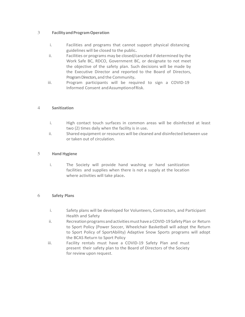# 3 Facility and Program Operation

- i. Facilities and programs that cannot support physical distancing guidelines will be closed to the public.
- ii. Facilities or programs may be closed/canceled if determined by the Work Safe BC, RDCO, Government BC, or designate to not meet the objective of the safety plan. Such decisions will be made by the Executive Director and reported to the Board of Directors, Program Directors, and the Community.
- iii. Program participants will be required to sign a COVID-19 Informed Consent and Assumption of Risk.

# 4 Sanitization

- i. High contact touch surfaces in common areas will be disinfected at least two (2) times daily when the facility is in use.
- ii. Shared equipment or resources will be cleaned and disinfected between use or taken out of circulation.

# 5 Hand Hygiene

i. The Society will provide hand washing or hand sanitization facilities and supplies when there is not a supply at the location where activities will take place.

# 6 Safety Plans

- i. Safety plans will be developed for Volunteers, Contractors, and Participant Health and Safety
- ii. Recreation programs and activities must have a COVID-19 Safety Plan or Return to Sport Policy (Power Soccer, Wheelchair Basketball will adopt the Return to Sport Policy of SportAbility) Adaptive Snow Sports programs will adopt the BCAS Return to Sport Policy
- iii. Facility rentals must have a COVID-19 Safety Plan and must present their safety plan to the Board of Directors of the Society for review upon request.